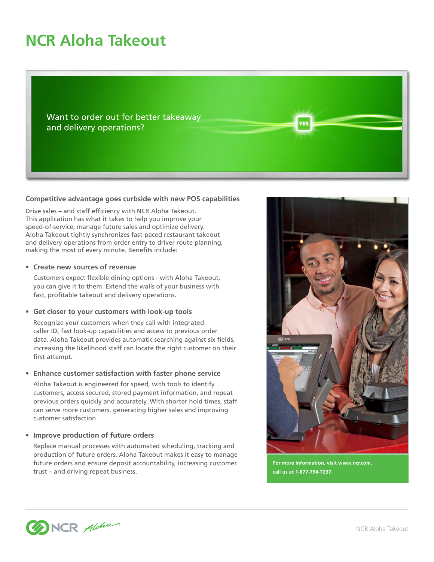# **NCR Aloha Takeout**

Want to order out for better takeaway and delivery operations?

#### **Competitive advantage goes curbside with new POS capabilities**

Drive sales – and staff efficiency with NCR Aloha Takeout. This application has what it takes to help you improve your speed-of-service, manage future sales and optimize delivery. Aloha Takeout tightly synchronizes fast-paced restaurant takeout and delivery operations from order entry to driver route planning, making the most of every minute. Benefits include:

#### **• Create new sources of revenue**

Customers expect flexible dining options - with Aloha Takeout, you can give it to them. Extend the walls of your business with fast, profitable takeout and delivery operations.

#### **• Get closer to your customers with look-up tools**

Recognize your customers when they call with integrated caller ID, fast look-up capabilities and access to previous order data. Aloha Takeout provides automatic searching against six fields, increasing the likelihood staff can locate the right customer on their first attempt.

#### **• Enhance customer satisfaction with faster phone service**

Aloha Takeout is engineered for speed, with tools to identify customers, access secured, stored payment information, and repeat previous orders quickly and accurately. With shorter hold times, staff can serve more customers, generating higher sales and improving customer satisfaction.

# **• Improve production of future orders**

Replace manual processes with automated scheduling, tracking and production of future orders. Aloha Takeout makes it easy to manage future orders and ensure deposit accountability, increasing customer trust – and driving repeat business.



**FS** 

**For more information, visit www.ncr.com, call us at 1-877-794-7237.**